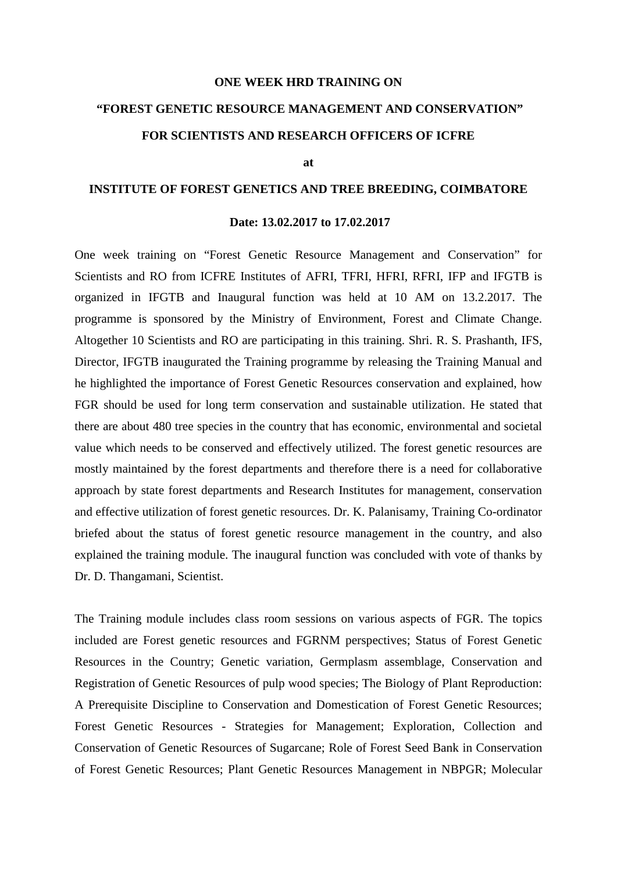## **ONE WEEK HRD TRAINING ON**

## **"FOREST GENETIC RESOURCE MANAGEMENT AND CONSERVATION" FOR SCIENTISTS AND RESEARCH OFFICERS OF ICFRE**

**at**

## **INSTITUTE OF FOREST GENETICS AND TREE BREEDING, COIMBATORE**

## **Date: 13.02.2017 to 17.02.2017**

One week training on "Forest Genetic Resource Management and Conservation" for Scientists and RO from ICFRE Institutes of AFRI, TFRI, HFRI, RFRI, IFP and IFGTB is organized in IFGTB and Inaugural function was held at 10 AM on 13.2.2017. The programme is sponsored by the Ministry of Environment, Forest and Climate Change. Altogether 10 Scientists and RO are participating in this training. Shri. R. S. Prashanth, IFS, Director, IFGTB inaugurated the Training programme by releasing the Training Manual and he highlighted the importance of Forest Genetic Resources conservation and explained, how FGR should be used for long term conservation and sustainable utilization. He stated that there are about 480 tree species in the country that has economic, environmental and societal value which needs to be conserved and effectively utilized. The forest genetic resources are mostly maintained by the forest departments and therefore there is a need for collaborative approach by state forest departments and Research Institutes for management, conservation and effective utilization of forest genetic resources. Dr. K. Palanisamy, Training Co-ordinator briefed about the status of forest genetic resource management in the country, and also explained the training module. The inaugural function was concluded with vote of thanks by Dr. D. Thangamani, Scientist.

The Training module includes class room sessions on various aspects of FGR. The topics included are Forest genetic resources and FGRNM perspectives; Status of Forest Genetic Resources in the Country; Genetic variation, Germplasm assemblage, Conservation and Registration of Genetic Resources of pulp wood species; The Biology of Plant Reproduction: A Prerequisite Discipline to Conservation and Domestication of Forest Genetic Resources; Forest Genetic Resources - Strategies for Management; Exploration, Collection and Conservation of Genetic Resources of Sugarcane; Role of Forest Seed Bank in Conservation of Forest Genetic Resources; Plant Genetic Resources Management in NBPGR; Molecular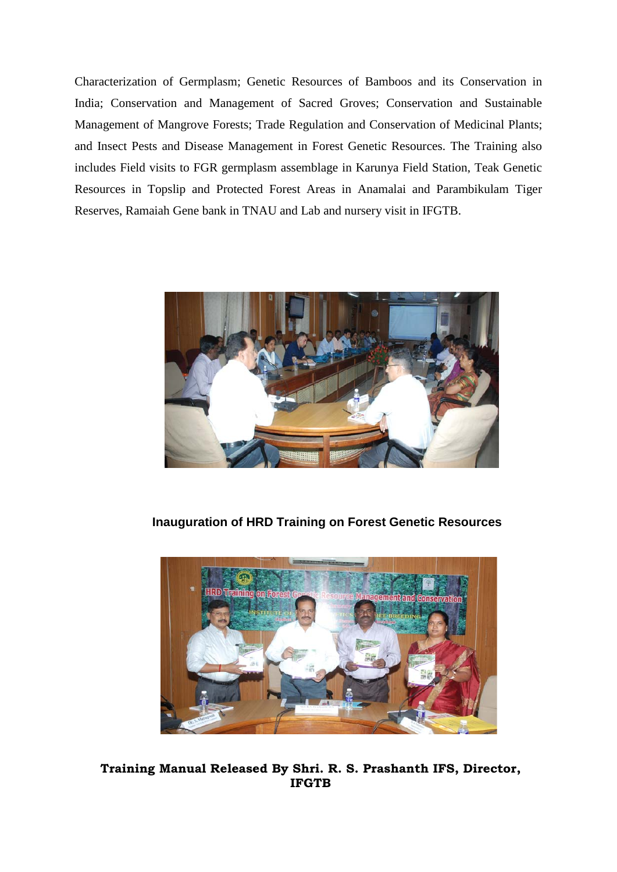Characterization of Germplasm; Genetic Resources of Bamboos and its Conservation in India; Conservation and Management of Sacred Groves; Conservation and Sustainable Management of Mangrove Forests; Trade Regulation and Conservation of Medicinal Plants; and Insect Pests and Disease Management in Forest Genetic Resources. The Training also includes Field visits to FGR germplasm assemblage in Karunya Field Station, Teak Genetic Resources in Topslip and Protected Forest Areas in Anamalai and Parambikulam Tiger Reserves, Ramaiah Gene bank in TNAU and Lab and nursery visit in IFGTB.



**Inauguration of HRD Training on Forest Genetic Resources**



**Training Manual Released By Shri. R. S. Prashanth IFS, Director, IFGTB**